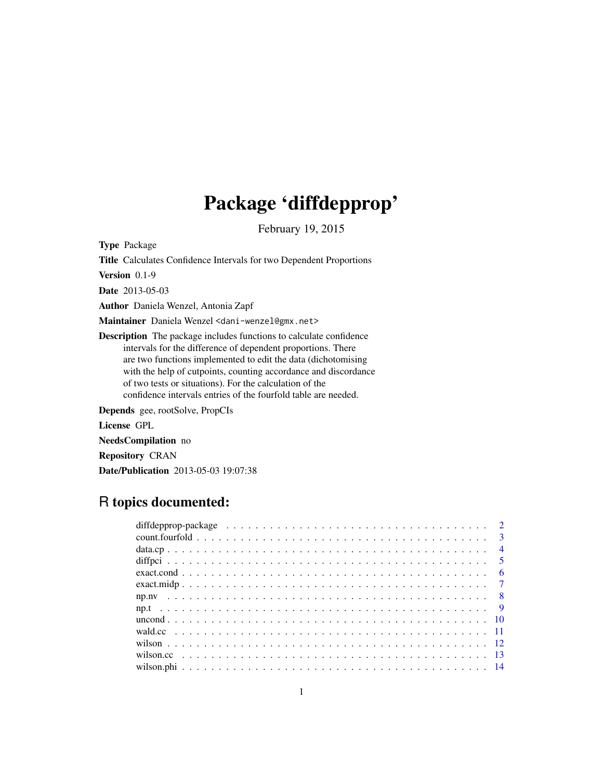# Package 'diffdepprop'

February 19, 2015

Type Package

Title Calculates Confidence Intervals for two Dependent Proportions

Version 0.1-9

Date 2013-05-03

Author Daniela Wenzel, Antonia Zapf

Maintainer Daniela Wenzel <dani-wenzel@gmx.net>

Description The package includes functions to calculate confidence intervals for the difference of dependent proportions. There are two functions implemented to edit the data (dichotomising with the help of cutpoints, counting accordance and discordance of two tests or situations). For the calculation of the confidence intervals entries of the fourfold table are needed.

Depends gee, rootSolve, PropCIs

License GPL

NeedsCompilation no

Repository CRAN

Date/Publication 2013-05-03 19:07:38

# R topics documented:

| diffdepprop-package $\ldots \ldots \ldots \ldots \ldots \ldots \ldots \ldots \ldots \ldots \ldots \ldots \ldots 2$ |  |
|--------------------------------------------------------------------------------------------------------------------|--|
|                                                                                                                    |  |
|                                                                                                                    |  |
|                                                                                                                    |  |
|                                                                                                                    |  |
|                                                                                                                    |  |
|                                                                                                                    |  |
|                                                                                                                    |  |
|                                                                                                                    |  |
|                                                                                                                    |  |
|                                                                                                                    |  |
|                                                                                                                    |  |
|                                                                                                                    |  |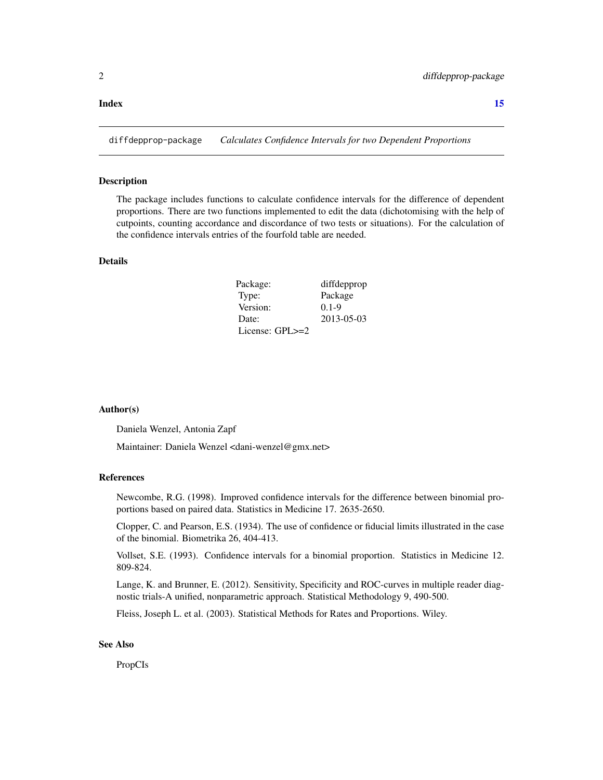#### <span id="page-1-0"></span>**Index** [15](#page-14-0)

diffdepprop-package *Calculates Confidence Intervals for two Dependent Proportions*

#### Description

The package includes functions to calculate confidence intervals for the difference of dependent proportions. There are two functions implemented to edit the data (dichotomising with the help of cutpoints, counting accordance and discordance of two tests or situations). For the calculation of the confidence intervals entries of the fourfold table are needed.

# Details

| Package:        | diffdepprop |
|-----------------|-------------|
| Type:           | Package     |
| Version:        | $0.1 - 9$   |
| Date:           | 2013-05-03  |
| License: GPL>=2 |             |

#### Author(s)

Daniela Wenzel, Antonia Zapf

Maintainer: Daniela Wenzel <dani-wenzel@gmx.net>

#### References

Newcombe, R.G. (1998). Improved confidence intervals for the difference between binomial proportions based on paired data. Statistics in Medicine 17. 2635-2650.

Clopper, C. and Pearson, E.S. (1934). The use of confidence or fiducial limits illustrated in the case of the binomial. Biometrika 26, 404-413.

Vollset, S.E. (1993). Confidence intervals for a binomial proportion. Statistics in Medicine 12. 809-824.

Lange, K. and Brunner, E. (2012). Sensitivity, Specificity and ROC-curves in multiple reader diagnostic trials-A unified, nonparametric approach. Statistical Methodology 9, 490-500.

Fleiss, Joseph L. et al. (2003). Statistical Methods for Rates and Proportions. Wiley.

#### See Also

PropCIs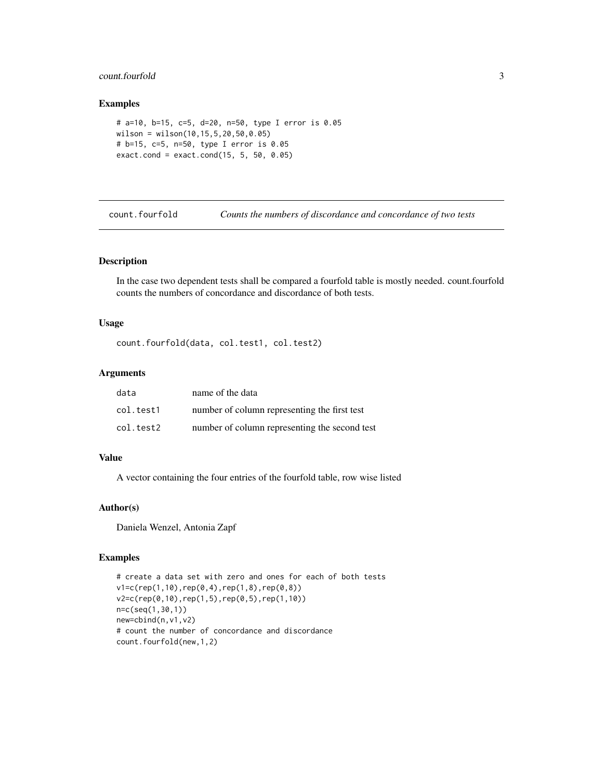# <span id="page-2-0"></span>count.fourfold 3

# Examples

```
# a=10, b=15, c=5, d=20, n=50, type I error is 0.05
wilson = wilson(10,15,5,20,50,0.05)
# b=15, c=5, n=50, type I error is 0.05
exact.cond = exact.cond(15, 5, 50, 0.05)
```
count.fourfold *Counts the numbers of discordance and concordance of two tests*

## Description

In the case two dependent tests shall be compared a fourfold table is mostly needed. count.fourfold counts the numbers of concordance and discordance of both tests.

#### Usage

count.fourfold(data, col.test1, col.test2)

# Arguments

| data      | name of the data                              |
|-----------|-----------------------------------------------|
| col.test1 | number of column representing the first test  |
| col.test2 | number of column representing the second test |

#### Value

A vector containing the four entries of the fourfold table, row wise listed

#### Author(s)

Daniela Wenzel, Antonia Zapf

```
# create a data set with zero and ones for each of both tests
v1=c(rep(1,10),rep(0,4),rep(1,8),rep(0,8))
v2=c(rep(0,10),rep(1,5),rep(0,5),rep(1,10))
n=c(seq(1,30,1))
new=cbind(n,v1,v2)
# count the number of concordance and discordance
count.fourfold(new,1,2)
```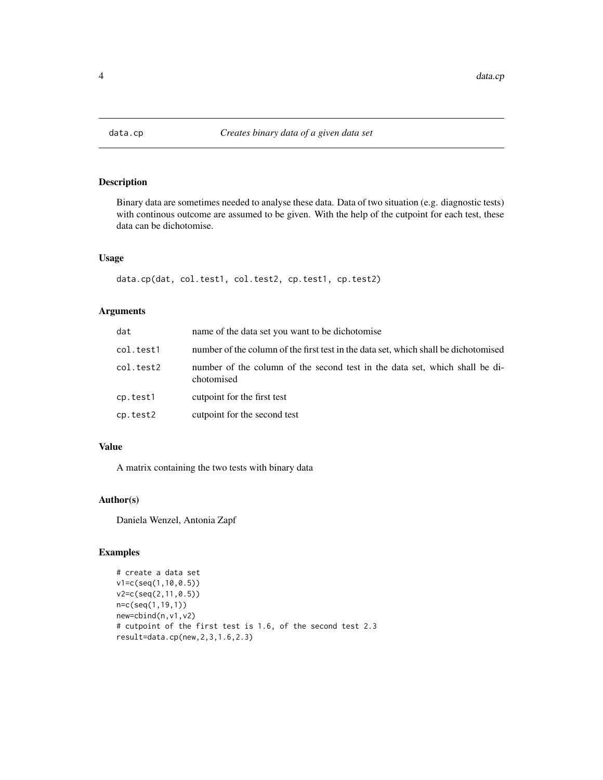<span id="page-3-0"></span>

Binary data are sometimes needed to analyse these data. Data of two situation (e.g. diagnostic tests) with continous outcome are assumed to be given. With the help of the cutpoint for each test, these data can be dichotomise.

# Usage

```
data.cp(dat, col.test1, col.test2, cp.test1, cp.test2)
```
# Arguments

| dat       | name of the data set you want to be dichotomise                                           |
|-----------|-------------------------------------------------------------------------------------------|
| col.test1 | number of the column of the first test in the data set, which shall be dichotomised       |
| col.test2 | number of the column of the second test in the data set, which shall be di-<br>chotomised |
| cp.test1  | cutpoint for the first test                                                               |
| cp.test2  | cutpoint for the second test                                                              |

# Value

A matrix containing the two tests with binary data

# Author(s)

Daniela Wenzel, Antonia Zapf

```
# create a data set
v1=c(seq(1,10,0.5))
v2=c(seq(2,11,0.5))
n=c(seq(1,19,1))
new=cbind(n,v1,v2)
# cutpoint of the first test is 1.6, of the second test 2.3
result=data.cp(new,2,3,1.6,2.3)
```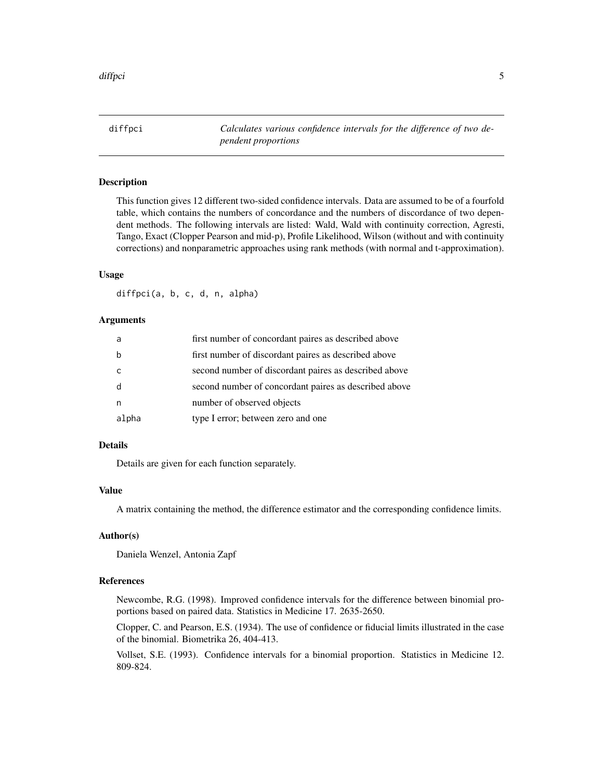<span id="page-4-0"></span>diffpci *Calculates various confidence intervals for the difference of two dependent proportions*

# Description

This function gives 12 different two-sided confidence intervals. Data are assumed to be of a fourfold table, which contains the numbers of concordance and the numbers of discordance of two dependent methods. The following intervals are listed: Wald, Wald with continuity correction, Agresti, Tango, Exact (Clopper Pearson and mid-p), Profile Likelihood, Wilson (without and with continuity corrections) and nonparametric approaches using rank methods (with normal and t-approximation).

# Usage

diffpci(a, b, c, d, n, alpha)

# Arguments

| a     | first number of concordant paires as described above  |
|-------|-------------------------------------------------------|
| b     | first number of discordant paires as described above  |
| C     | second number of discordant paires as described above |
| d     | second number of concordant paires as described above |
| n     | number of observed objects                            |
| alpha | type I error; between zero and one                    |

# Details

Details are given for each function separately.

#### Value

A matrix containing the method, the difference estimator and the corresponding confidence limits.

# Author(s)

Daniela Wenzel, Antonia Zapf

# References

Newcombe, R.G. (1998). Improved confidence intervals for the difference between binomial proportions based on paired data. Statistics in Medicine 17. 2635-2650.

Clopper, C. and Pearson, E.S. (1934). The use of confidence or fiducial limits illustrated in the case of the binomial. Biometrika 26, 404-413.

Vollset, S.E. (1993). Confidence intervals for a binomial proportion. Statistics in Medicine 12. 809-824.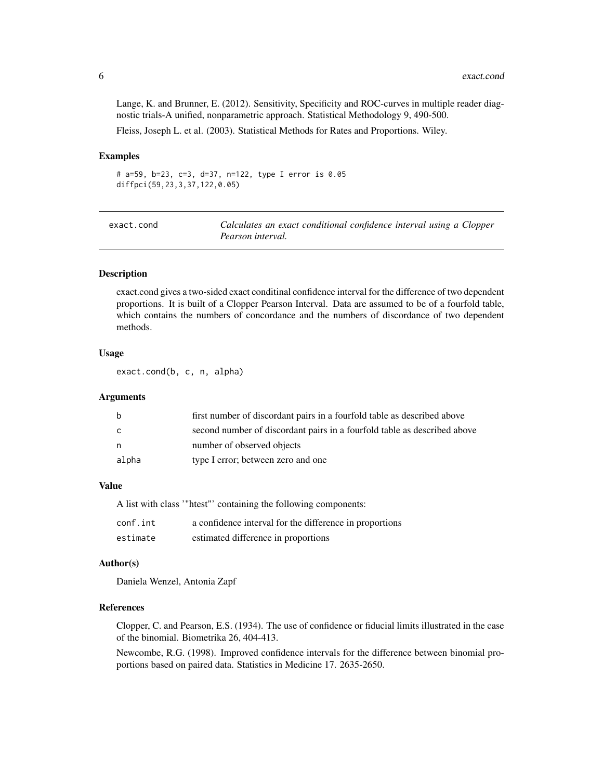Lange, K. and Brunner, E. (2012). Sensitivity, Specificity and ROC-curves in multiple reader diagnostic trials-A unified, nonparametric approach. Statistical Methodology 9, 490-500. Fleiss, Joseph L. et al. (2003). Statistical Methods for Rates and Proportions. Wiley.

#### Examples

# a=59, b=23, c=3, d=37, n=122, type I error is 0.05 diffpci(59,23,3,37,122,0.05)

| exact.cond | Calculates an exact conditional confidence interval using a Clopper |
|------------|---------------------------------------------------------------------|
|            | Pearson interval.                                                   |

#### Description

exact.cond gives a two-sided exact conditinal confidence interval for the difference of two dependent proportions. It is built of a Clopper Pearson Interval. Data are assumed to be of a fourfold table, which contains the numbers of concordance and the numbers of discordance of two dependent methods.

# Usage

exact.cond(b, c, n, alpha)

#### Arguments

| b     | first number of discordant pairs in a fourfold table as described above  |
|-------|--------------------------------------------------------------------------|
| C.    | second number of discordant pairs in a fourfold table as described above |
| n,    | number of observed objects                                               |
| alpha | type I error; between zero and one                                       |

#### Value

|          | A list with class "htest" containing the following components: |
|----------|----------------------------------------------------------------|
| conf.int | a confidence interval for the difference in proportions        |
| estimate | estimated difference in proportions                            |

#### Author(s)

Daniela Wenzel, Antonia Zapf

## References

Clopper, C. and Pearson, E.S. (1934). The use of confidence or fiducial limits illustrated in the case of the binomial. Biometrika 26, 404-413.

Newcombe, R.G. (1998). Improved confidence intervals for the difference between binomial proportions based on paired data. Statistics in Medicine 17. 2635-2650.

<span id="page-5-0"></span>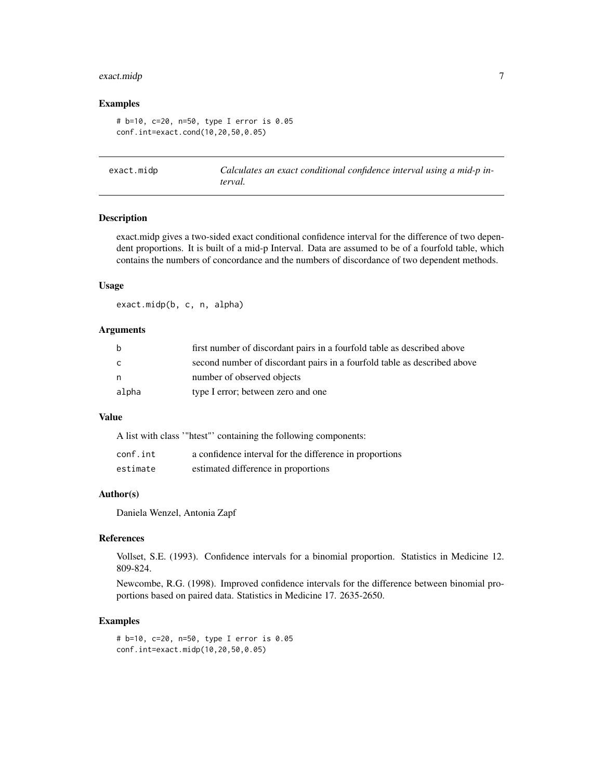# <span id="page-6-0"></span>exact.midp 7

#### Examples

```
# b=10, c=20, n=50, type I error is 0.05
conf.int=exact.cond(10,20,50,0.05)
```
exact.midp *Calculates an exact conditional confidence interval using a mid-p interval.*

#### Description

exact.midp gives a two-sided exact conditional confidence interval for the difference of two dependent proportions. It is built of a mid-p Interval. Data are assumed to be of a fourfold table, which contains the numbers of concordance and the numbers of discordance of two dependent methods.

#### Usage

exact.midp(b, c, n, alpha)

# Arguments

| <sub>b</sub> | first number of discordant pairs in a fourfold table as described above  |
|--------------|--------------------------------------------------------------------------|
| C            | second number of discordant pairs in a fourfold table as described above |
| n            | number of observed objects                                               |
| alpha        | type I error; between zero and one                                       |

# Value

A list with class '"htest"' containing the following components:

| conf.int | a confidence interval for the difference in proportions |
|----------|---------------------------------------------------------|
| estimate | estimated difference in proportions                     |

#### Author(s)

Daniela Wenzel, Antonia Zapf

#### References

Vollset, S.E. (1993). Confidence intervals for a binomial proportion. Statistics in Medicine 12. 809-824.

Newcombe, R.G. (1998). Improved confidence intervals for the difference between binomial proportions based on paired data. Statistics in Medicine 17. 2635-2650.

#### Examples

# b=10, c=20, n=50, type I error is 0.05 conf.int=exact.midp(10,20,50,0.05)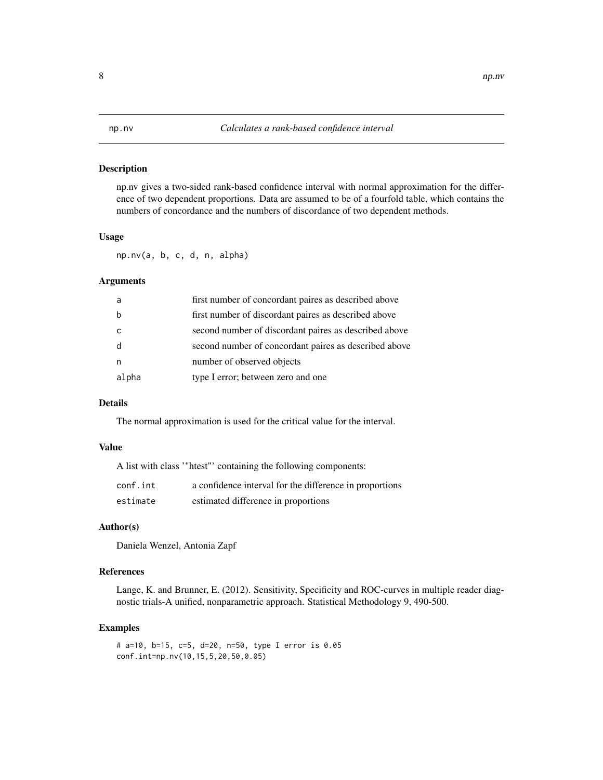<span id="page-7-0"></span>np.nv gives a two-sided rank-based confidence interval with normal approximation for the difference of two dependent proportions. Data are assumed to be of a fourfold table, which contains the numbers of concordance and the numbers of discordance of two dependent methods.

#### Usage

np.nv(a, b, c, d, n, alpha)

# Arguments

| -a    | first number of concordant paires as described above  |
|-------|-------------------------------------------------------|
| b     | first number of discordant paires as described above  |
| C.    | second number of discordant paires as described above |
| d     | second number of concordant paires as described above |
| n     | number of observed objects                            |
| alpha | type I error; between zero and one                    |

# Details

The normal approximation is used for the critical value for the interval.

#### Value

A list with class '"htest"' containing the following components:

| conf.int | a confidence interval for the difference in proportions |
|----------|---------------------------------------------------------|
| estimate | estimated difference in proportions                     |

#### Author(s)

Daniela Wenzel, Antonia Zapf

#### References

Lange, K. and Brunner, E. (2012). Sensitivity, Specificity and ROC-curves in multiple reader diagnostic trials-A unified, nonparametric approach. Statistical Methodology 9, 490-500.

#### Examples

# a=10, b=15, c=5, d=20, n=50, type I error is 0.05 conf.int=np.nv(10,15,5,20,50,0.05)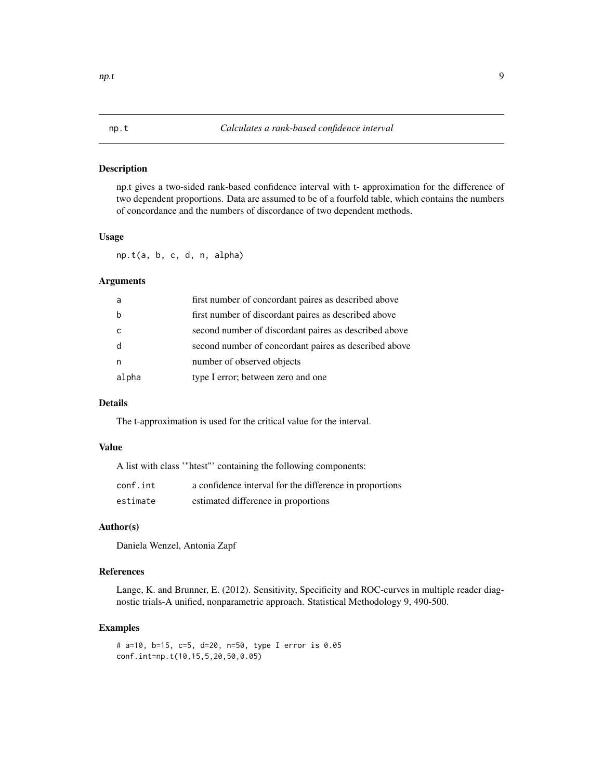<span id="page-8-0"></span>np.t gives a two-sided rank-based confidence interval with t- approximation for the difference of two dependent proportions. Data are assumed to be of a fourfold table, which contains the numbers of concordance and the numbers of discordance of two dependent methods.

#### Usage

np.t(a, b, c, d, n, alpha)

# Arguments

| a     | first number of concordant paires as described above  |
|-------|-------------------------------------------------------|
| h     | first number of discordant paires as described above  |
|       | second number of discordant paires as described above |
| d     | second number of concordant paires as described above |
| n     | number of observed objects                            |
| alpha | type I error; between zero and one                    |

# Details

The t-approximation is used for the critical value for the interval.

#### Value

A list with class '"htest"' containing the following components:

| conf.int | a confidence interval for the difference in proportions |
|----------|---------------------------------------------------------|
| estimate | estimated difference in proportions                     |

#### Author(s)

Daniela Wenzel, Antonia Zapf

# References

Lange, K. and Brunner, E. (2012). Sensitivity, Specificity and ROC-curves in multiple reader diagnostic trials-A unified, nonparametric approach. Statistical Methodology 9, 490-500.

```
# a=10, b=15, c=5, d=20, n=50, type I error is 0.05
conf.int=np.t(10,15,5,20,50,0.05)
```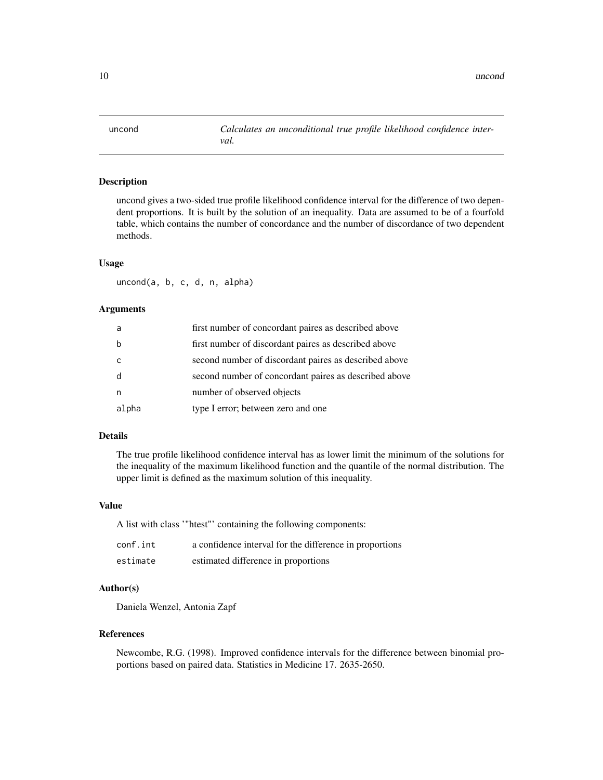<span id="page-9-0"></span>uncond *Calculates an unconditional true profile likelihood confidence interval.*

#### Description

uncond gives a two-sided true profile likelihood confidence interval for the difference of two dependent proportions. It is built by the solution of an inequality. Data are assumed to be of a fourfold table, which contains the number of concordance and the number of discordance of two dependent methods.

#### Usage

uncond(a, b, c, d, n, alpha)

# Arguments

| a            | first number of concordant paires as described above  |
|--------------|-------------------------------------------------------|
| h            | first number of discordant paires as described above  |
| <sub>c</sub> | second number of discordant paires as described above |
| - d          | second number of concordant paires as described above |
| n            | number of observed objects                            |
| alpha        | type I error; between zero and one                    |

# Details

The true profile likelihood confidence interval has as lower limit the minimum of the solutions for the inequality of the maximum likelihood function and the quantile of the normal distribution. The upper limit is defined as the maximum solution of this inequality.

#### Value

A list with class '"htest"' containing the following components:

| conf.int | a confidence interval for the difference in proportions |
|----------|---------------------------------------------------------|
| estimate | estimated difference in proportions                     |

# Author(s)

Daniela Wenzel, Antonia Zapf

#### References

Newcombe, R.G. (1998). Improved confidence intervals for the difference between binomial proportions based on paired data. Statistics in Medicine 17. 2635-2650.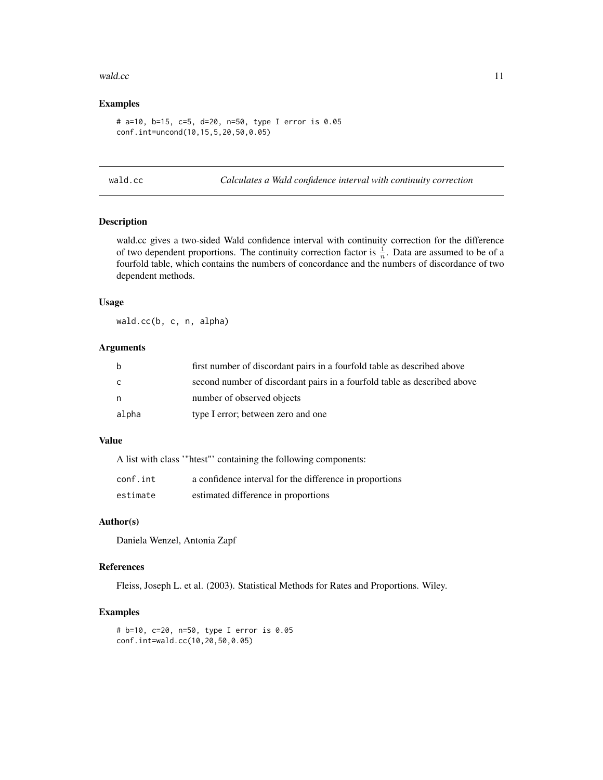#### <span id="page-10-0"></span>wald.cc 11

# Examples

```
# a=10, b=15, c=5, d=20, n=50, type I error is 0.05
conf.int=uncond(10,15,5,20,50,0.05)
```
wald.cc *Calculates a Wald confidence interval with continuity correction*

# Description

wald.cc gives a two-sided Wald confidence interval with continuity correction for the difference of two dependent proportions. The continuity correction factor is  $\frac{1}{n}$ . Data are assumed to be of a fourfold table, which contains the numbers of concordance and the numbers of discordance of two dependent methods.

# Usage

wald.cc(b, c, n, alpha)

# Arguments

| b     | first number of discordant pairs in a fourfold table as described above  |
|-------|--------------------------------------------------------------------------|
| C     | second number of discordant pairs in a fourfold table as described above |
| n.    | number of observed objects                                               |
| alpha | type I error; between zero and one                                       |

# Value

A list with class '"htest"' containing the following components:

| conf.int | a confidence interval for the difference in proportions |
|----------|---------------------------------------------------------|
| estimate | estimated difference in proportions                     |

#### Author(s)

Daniela Wenzel, Antonia Zapf

#### References

Fleiss, Joseph L. et al. (2003). Statistical Methods for Rates and Proportions. Wiley.

```
# b=10, c=20, n=50, type I error is 0.05
conf.int=wald.cc(10,20,50,0.05)
```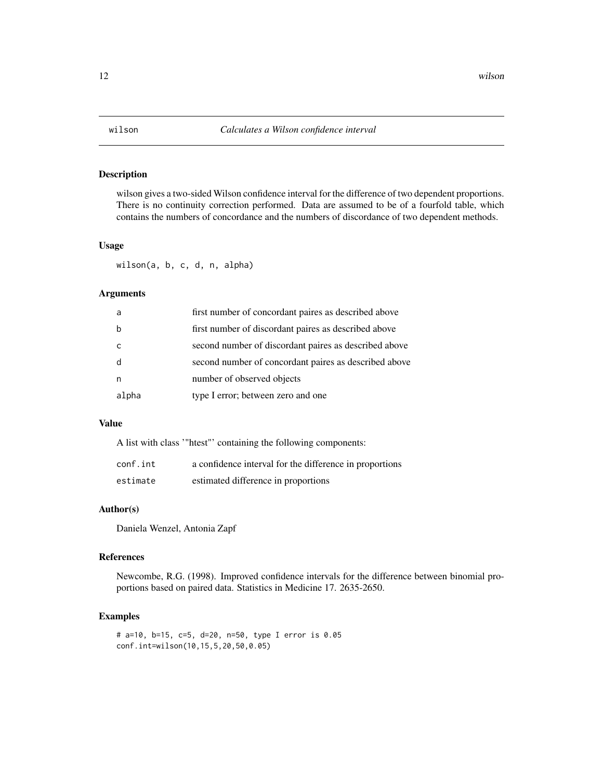<span id="page-11-0"></span>

wilson gives a two-sided Wilson confidence interval for the difference of two dependent proportions. There is no continuity correction performed. Data are assumed to be of a fourfold table, which contains the numbers of concordance and the numbers of discordance of two dependent methods.

#### Usage

wilson(a, b, c, d, n, alpha)

# Arguments

| a     | first number of concordant paires as described above  |
|-------|-------------------------------------------------------|
| b     | first number of discordant paires as described above  |
| C     | second number of discordant paires as described above |
| d     | second number of concordant paires as described above |
| n     | number of observed objects                            |
| alpha | type I error; between zero and one                    |

### Value

A list with class '"htest"' containing the following components:

| conf.int | a confidence interval for the difference in proportions |
|----------|---------------------------------------------------------|
| estimate | estimated difference in proportions                     |

# Author(s)

Daniela Wenzel, Antonia Zapf

#### References

Newcombe, R.G. (1998). Improved confidence intervals for the difference between binomial proportions based on paired data. Statistics in Medicine 17. 2635-2650.

```
# a=10, b=15, c=5, d=20, n=50, type I error is 0.05
conf.int=wilson(10,15,5,20,50,0.05)
```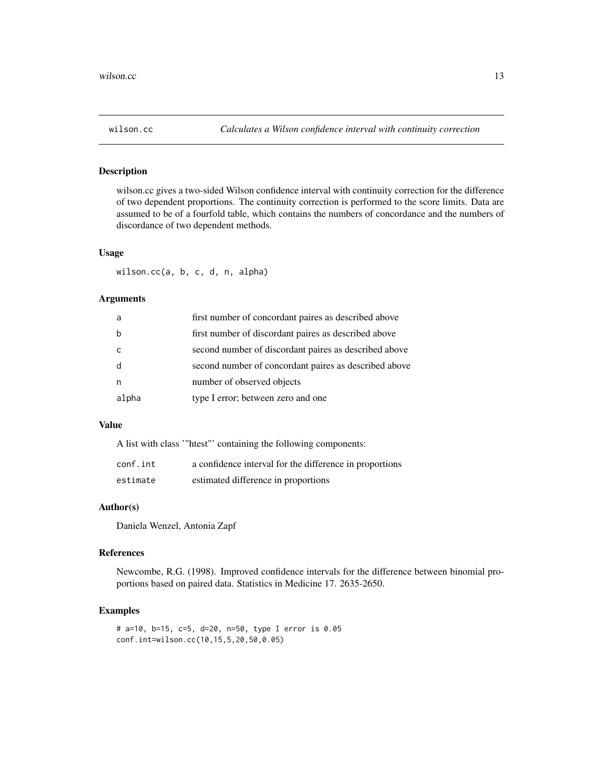<span id="page-12-0"></span>

wilson.cc gives a two-sided Wilson confidence interval with continuity correction for the difference of two dependent proportions. The continuity correction is performed to the score limits. Data are assumed to be of a fourfold table, which contains the numbers of concordance and the numbers of discordance of two dependent methods.

#### Usage

wilson.cc(a, b, c, d, n, alpha)

# Arguments

| a     | first number of concordant paires as described above  |
|-------|-------------------------------------------------------|
|       | first number of discordant paires as described above  |
| C     | second number of discordant paires as described above |
|       | second number of concordant paires as described above |
|       | number of observed objects                            |
| alpha | type I error; between zero and one                    |

# Value

A list with class '"htest"' containing the following components:

| conf.int | a confidence interval for the difference in proportions |
|----------|---------------------------------------------------------|
| estimate | estimated difference in proportions                     |

#### Author(s)

Daniela Wenzel, Antonia Zapf

#### References

Newcombe, R.G. (1998). Improved confidence intervals for the difference between binomial proportions based on paired data. Statistics in Medicine 17. 2635-2650.

```
# a=10, b=15, c=5, d=20, n=50, type I error is 0.05
conf.int=wilson.cc(10,15,5,20,50,0.05)
```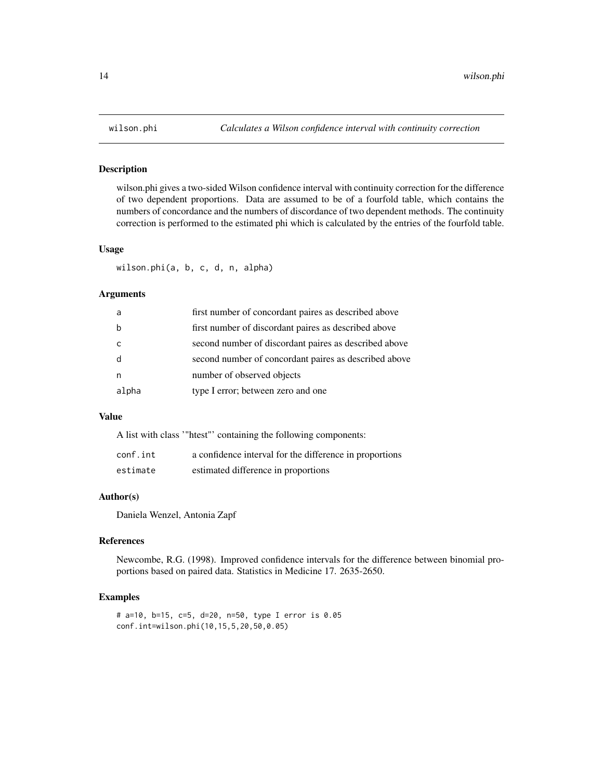wilson.phi gives a two-sided Wilson confidence interval with continuity correction for the difference of two dependent proportions. Data are assumed to be of a fourfold table, which contains the numbers of concordance and the numbers of discordance of two dependent methods. The continuity correction is performed to the estimated phi which is calculated by the entries of the fourfold table.

#### Usage

wilson.phi(a, b, c, d, n, alpha)

#### Arguments

| a     | first number of concordant paires as described above  |
|-------|-------------------------------------------------------|
| b     | first number of discordant paires as described above  |
| C     | second number of discordant paires as described above |
| d     | second number of concordant paires as described above |
| n     | number of observed objects                            |
| alpha | type I error; between zero and one                    |

# Value

A list with class '"htest"' containing the following components:

| conf.int | a confidence interval for the difference in proportions |
|----------|---------------------------------------------------------|
| estimate | estimated difference in proportions                     |

# Author(s)

Daniela Wenzel, Antonia Zapf

# References

Newcombe, R.G. (1998). Improved confidence intervals for the difference between binomial proportions based on paired data. Statistics in Medicine 17. 2635-2650.

```
# a=10, b=15, c=5, d=20, n=50, type I error is 0.05
conf.int=wilson.phi(10,15,5,20,50,0.05)
```